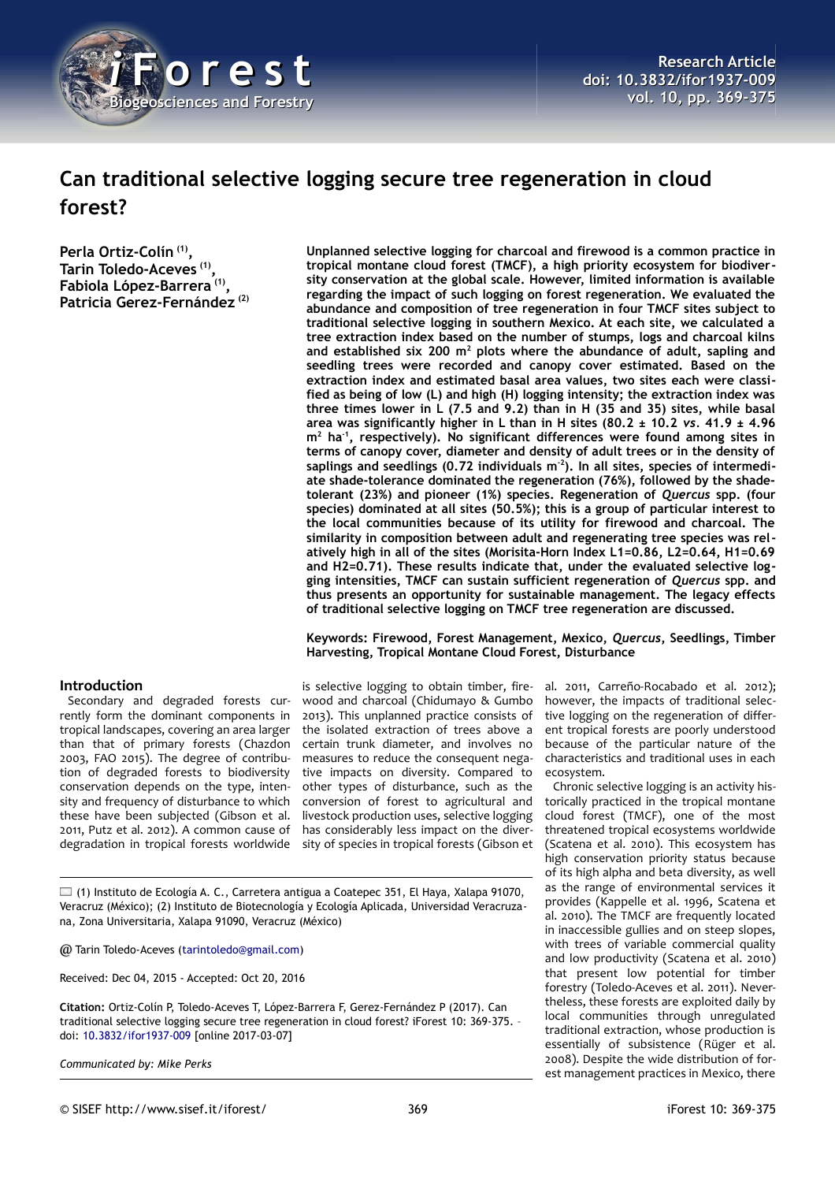

# **Can traditional selective logging secure tree regeneration in cloud forest?**

**Perla Ortiz-Colín (1) , Tarin Toledo-Aceves (1) , Fabiola López-Barrera (1) , Patricia Gerez-Fernández (2)**

#### **Introduction**

Secondary and degraded forests currently form the dominant components in tropical landscapes, covering an area larger than that of primary forests (Chazdon 2003, FAO 2015). The degree of contribution of degraded forests to biodiversity conservation depends on the type, intensity and frequency of disturbance to which these have been subjected (Gibson et al. 2011, Putz et al. 2012). A common cause of degradation in tropical forests worldwide

**Unplanned selective logging for charcoal and firewood is a common practice in tropical montane cloud forest (TMCF), a high priority ecosystem for biodiversity conservation at the global scale. However, limited information is available regarding the impact of such logging on forest regeneration. We evaluated the abundance and composition of tree regeneration in four TMCF sites subject to traditional selective logging in southern Mexico. At each site, we calculated a tree extraction index based on the number of stumps, logs and charcoal kilns and established six 200 m<sup>2</sup> plots where the abundance of adult, sapling and seedling trees were recorded and canopy cover estimated. Based on the extraction index and estimated basal area values, two sites each were classified as being of low (L) and high (H) logging intensity; the extraction index was three times lower in L (7.5 and 9.2) than in H (35 and 35) sites, while basal area was significantly higher in L than in H sites (80.2 ± 10.2** *vs.* **41.9 ± 4.96 m<sup>2</sup> ha-1, respectively). No significant differences were found among sites in terms of canopy cover, diameter and density of adult trees or in the density of saplings and seedlings (0.72 individuals m-2). In all sites, species of intermediate shade-tolerance dominated the regeneration (76%), followed by the shadetolerant (23%) and pioneer (1%) species. Regeneration of** *Quercus* **spp. (four species) dominated at all sites (50.5%); this is a group of particular interest to the local communities because of its utility for firewood and charcoal. The similarity in composition between adult and regenerating tree species was relatively high in all of the sites (Morisita-Horn Index L1=0.86, L2=0.64, H1=0.69 and H2=0.71). These results indicate that, under the evaluated selective logging intensities, TMCF can sustain sufficient regeneration of** *Quercus* **spp. and thus presents an opportunity for sustainable management. The legacy effects of traditional selective logging on TMCF tree regeneration are discussed.**

#### **Keywords: Firewood, Forest Management, Mexico,** *Quercus***, Seedlings, Timber Harvesting, Tropical Montane Cloud Forest, Disturbance**

is selective logging to obtain timber, firewood and charcoal (Chidumayo & Gumbo 2013). This unplanned practice consists of the isolated extraction of trees above a certain trunk diameter, and involves no measures to reduce the consequent negative impacts on diversity. Compared to other types of disturbance, such as the conversion of forest to agricultural and livestock production uses, selective logging has considerably less impact on the diversity of species in tropical forests (Gibson et

al. 2011, Carreño-Rocabado et al. 2012); however, the impacts of traditional selective logging on the regeneration of different tropical forests are poorly understood because of the particular nature of the characteristics and traditional uses in each ecosystem.

Chronic selective logging is an activity historically practiced in the tropical montane cloud forest (TMCF), one of the most threatened tropical ecosystems worldwide (Scatena et al. 2010). This ecosystem has high conservation priority status because of its high alpha and beta diversity, as well as the range of environmental services it provides (Kappelle et al. 1996, Scatena et al. 2010). The TMCF are frequently located in inaccessible gullies and on steep slopes, with trees of variable commercial quality and low productivity (Scatena et al. 2010) that present low potential for timber forestry (Toledo-Aceves et al. 2011). Nevertheless, these forests are exploited daily by local communities through unregulated traditional extraction, whose production is essentially of subsistence (Rüger et al. 2008). Despite the wide distribution of forest management practices in Mexico, there

 $\Box$  (1) Instituto de Ecología A. C., Carretera antigua a Coatepec 351, El Haya, Xalapa 91070, Veracruz (México); (2) Instituto de Biotecnología y Ecología Aplicada, Universidad Veracruzana, Zona Universitaria, Xalapa 91090, Veracruz (México)

@ Tarin Toledo-Aceves [\(tarintoledo@gmail.com\)](mailto:tarintoledo@gmail.com)

Received: Dec 04, 2015 - Accepted: Oct 20, 2016

**Citation:** Ortiz-Colín P, Toledo-Aceves T, López-Barrera F, Gerez-Fernández P (2017). Can traditional selective logging secure tree regeneration in cloud forest? iForest 10: 369-375. – doi: [10.3832/ifor1937-009](http://www.sisef.it/iforest/contents/?id=ifor1937-009) [online 2017-03-07]

*Communicated by: Mike Perks*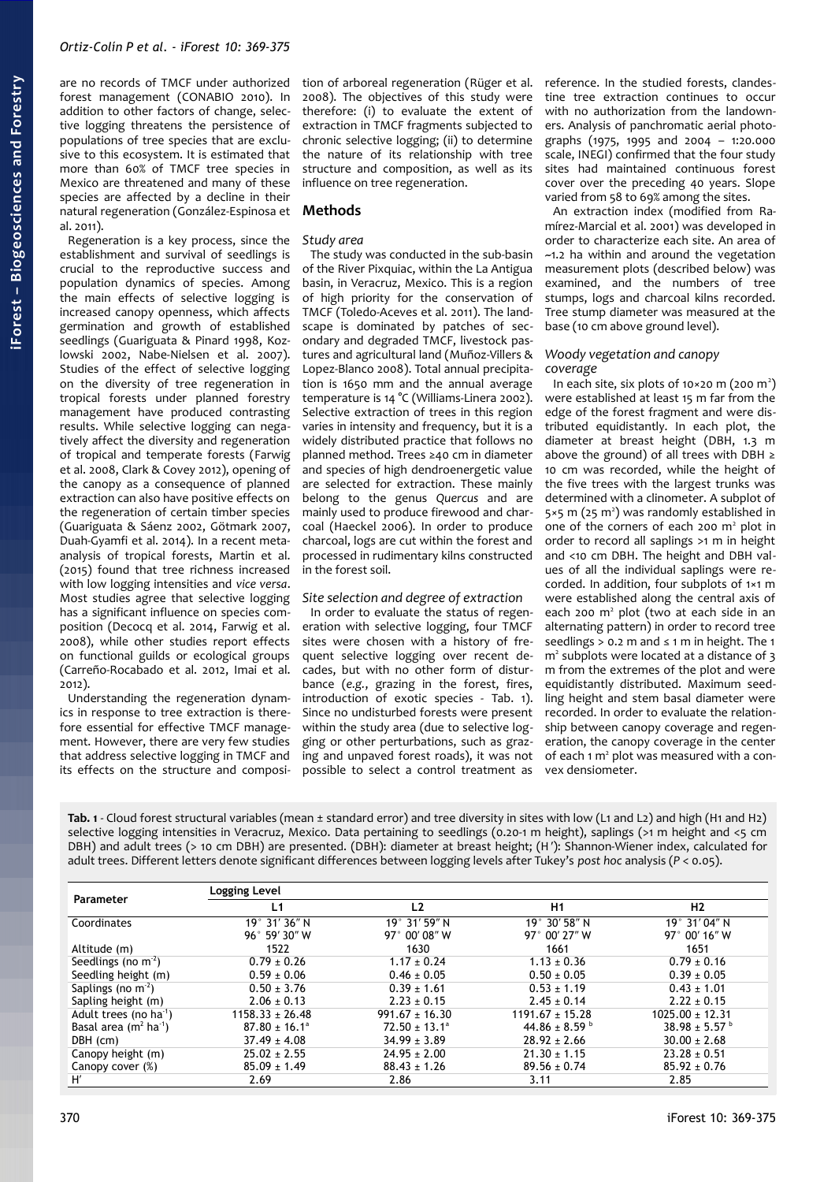are no records of TMCF under authorized forest management (CONABIO 2010). In addition to other factors of change, selective logging threatens the persistence of populations of tree species that are exclusive to this ecosystem. It is estimated that more than 60% of TMCF tree species in Mexico are threatened and many of these species are affected by a decline in their natural regeneration (González-Espinosa et al. 2011).

Regeneration is a key process, since the establishment and survival of seedlings is crucial to the reproductive success and population dynamics of species. Among the main effects of selective logging is increased canopy openness, which affects germination and growth of established seedlings (Guariguata & Pinard 1998, Kozlowski 2002, Nabe-Nielsen et al. 2007). Studies of the effect of selective logging on the diversity of tree regeneration in tropical forests under planned forestry management have produced contrasting results. While selective logging can negatively affect the diversity and regeneration of tropical and temperate forests (Farwig et al. 2008, Clark & Covey 2012), opening of the canopy as a consequence of planned extraction can also have positive effects on the regeneration of certain timber species (Guariguata & Sáenz 2002, Götmark 2007, Duah-Gyamfi et al. 2014). In a recent metaanalysis of tropical forests, Martin et al. (2015) found that tree richness increased with low logging intensities and *vice versa*. Most studies agree that selective logging has a significant influence on species composition (Decocq et al. 2014, Farwig et al. 2008), while other studies report effects on functional guilds or ecological groups (Carreño-Rocabado et al. 2012, Imai et al. 2012).

Understanding the regeneration dynamics in response to tree extraction is therefore essential for effective TMCF management. However, there are very few studies that address selective logging in TMCF and its effects on the structure and composition of arboreal regeneration (Rüger et al. 2008). The objectives of this study were therefore: (i) to evaluate the extent of extraction in TMCF fragments subjected to chronic selective logging; (ii) to determine the nature of its relationship with tree structure and composition, as well as its influence on tree regeneration.

# **Methods**

# *Study area*

The study was conducted in the sub-basin of the River Pixquiac, within the La Antigua basin, in Veracruz, Mexico. This is a region of high priority for the conservation of TMCF (Toledo-Aceves et al. 2011). The landscape is dominated by patches of secondary and degraded TMCF, livestock pastures and agricultural land (Muñoz-Villers & Lopez-Blanco 2008). Total annual precipitation is 1650 mm and the annual average temperature is 14 °C (Williams-Linera 2002). Selective extraction of trees in this region varies in intensity and frequency, but it is a widely distributed practice that follows no planned method. Trees ≥40 cm in diameter and species of high dendroenergetic value are selected for extraction. These mainly belong to the genus *Quercus* and are mainly used to produce firewood and charcoal (Haeckel 2006). In order to produce charcoal, logs are cut within the forest and processed in rudimentary kilns constructed in the forest soil.

# *Site selection and degree of extraction*

In order to evaluate the status of regeneration with selective logging, four TMCF sites were chosen with a history of frequent selective logging over recent decades, but with no other form of disturbance (*e.g.*, grazing in the forest, fires, introduction of exotic species - [Tab. 1\)](#page-1-0). Since no undisturbed forests were present within the study area (due to selective logging or other perturbations, such as grazing and unpaved forest roads), it was not possible to select a control treatment as

reference. In the studied forests, clandestine tree extraction continues to occur with no authorization from the landowners. Analysis of panchromatic aerial photographs (1975, 1995 and 2004 – 1:20.000 scale, INEGI) confirmed that the four study sites had maintained continuous forest cover over the preceding 40 years. Slope varied from 58 to 69% among the sites.

An extraction index (modified from Ramírez-Marcial et al. 2001) was developed in order to characterize each site. An area of ~1.2 ha within and around the vegetation measurement plots (described below) was examined, and the numbers of tree stumps, logs and charcoal kilns recorded. Tree stump diameter was measured at the base (10 cm above ground level).

# *Woody vegetation and canopy coverage*

In each site, six plots of 10×20 m (200 m<sup>2</sup>) were established at least 15 m far from the edge of the forest fragment and were distributed equidistantly. In each plot, the diameter at breast height (DBH, 1.3 m above the ground) of all trees with DBH ≥ 10 cm was recorded, while the height of the five trees with the largest trunks was determined with a clinometer. A subplot of  $5 \times 5$  m (25 m<sup>2</sup>) was randomly established in one of the corners of each 200 m<sup>2</sup> plot in order to record all saplings >1 m in height and <10 cm DBH. The height and DBH values of all the individual saplings were recorded. In addition, four subplots of 1×1 m were established along the central axis of each 200 m<sup>2</sup> plot (two at each side in an alternating pattern) in order to record tree seedlings  $> 0.2$  m and  $\leq 1$  m in height. The 1  $m<sup>2</sup>$  subplots were located at a distance of 3 m from the extremes of the plot and were equidistantly distributed. Maximum seedling height and stem basal diameter were recorded. In order to evaluate the relationship between canopy coverage and regeneration, the canopy coverage in the center of each 1 m<sup>2</sup> plot was measured with a convex densiometer.

<span id="page-1-0"></span>**Tab. 1** - Cloud forest structural variables (mean ± standard error) and tree diversity in sites with low (L1 and L2) and high (H1 and H2) selective logging intensities in Veracruz, Mexico. Data pertaining to seedlings (0.20-1 m height), saplings (>1 m height and <5 cm DBH) and adult trees (> 10 cm DBH) are presented. (DBH): diameter at breast height; (H′): Shannon-Wiener index, calculated for adult trees. Different letters denote significant differences between logging levels after Tukey's *post hoc* analysis (*P* < 0.05).

| Parameter                                     | Logging Level                 |                        |                         |                         |
|-----------------------------------------------|-------------------------------|------------------------|-------------------------|-------------------------|
|                                               | L1                            | L2                     | H1                      | H2                      |
| Coordinates                                   | 19° 31' 36" N                 | $19^{\circ}$ 31' 59" N | 19° 30' 58" N           | 19°31'04"N              |
|                                               | $96^{\circ}$ 59' 30" W        | 97° 00' 08" W          | 97° 00′ 27″ W           | $97^{\circ}$ 00' 16" W  |
| Altitude (m)                                  | 1522                          | 1630                   | 1661                    | 1651                    |
| Seedlings (no $m-2$ )                         | $0.79 \pm 0.26$               | $1.17 \pm 0.24$        | $1.13 \pm 0.36$         | $0.79 \pm 0.16$         |
| Seedling height (m)                           | $0.59 \pm 0.06$               | $0.46 \pm 0.05$        | $0.50 \pm 0.05$         | $0.39 \pm 0.05$         |
| Saplings (no $m^2$ )                          | $0.50 \pm 3.76$               | $0.39 \pm 1.61$        | $0.53 \pm 1.19$         | $0.43 \pm 1.01$         |
| Sapling height (m)                            | $2.06 \pm 0.13$               | $2.23 \pm 0.15$        | $2.45 \pm 0.14$         | $2.22 \pm 0.15$         |
| Adult trees (no ha <sup>1</sup> )             | $1158.33 + 26.48$             | $991.67 \pm 16.30$     | $1191.67 + 15.28$       | $1025.00 + 12.31$       |
| Basal area (m <sup>2</sup> ha <sup>-1</sup> ) | $87.80 \pm 16.1$ <sup>a</sup> | $72.50 \pm 13.1^a$     | 44.86 ± 8.59 $^{\circ}$ | 38.98 ± 5.57 $^{\circ}$ |
| DBH (cm)                                      | $37.49 \pm 4.08$              | $34.99 \pm 3.89$       | $28.92 \pm 2.66$        | $30.00 \pm 2.68$        |
| Canopy height (m)                             | $25.02 \pm 2.55$              | $24.95 \pm 2.00$       | $21.30 \pm 1.15$        | $23.28 \pm 0.51$        |
| Canopy cover (%)                              | $85.09 \pm 1.49$              | $88.43 \pm 1.26$       | $89.56 \pm 0.74$        | $85.92 \pm 0.76$        |
| H'                                            | 2.69                          | 2.86                   | 3.11                    | 2.85                    |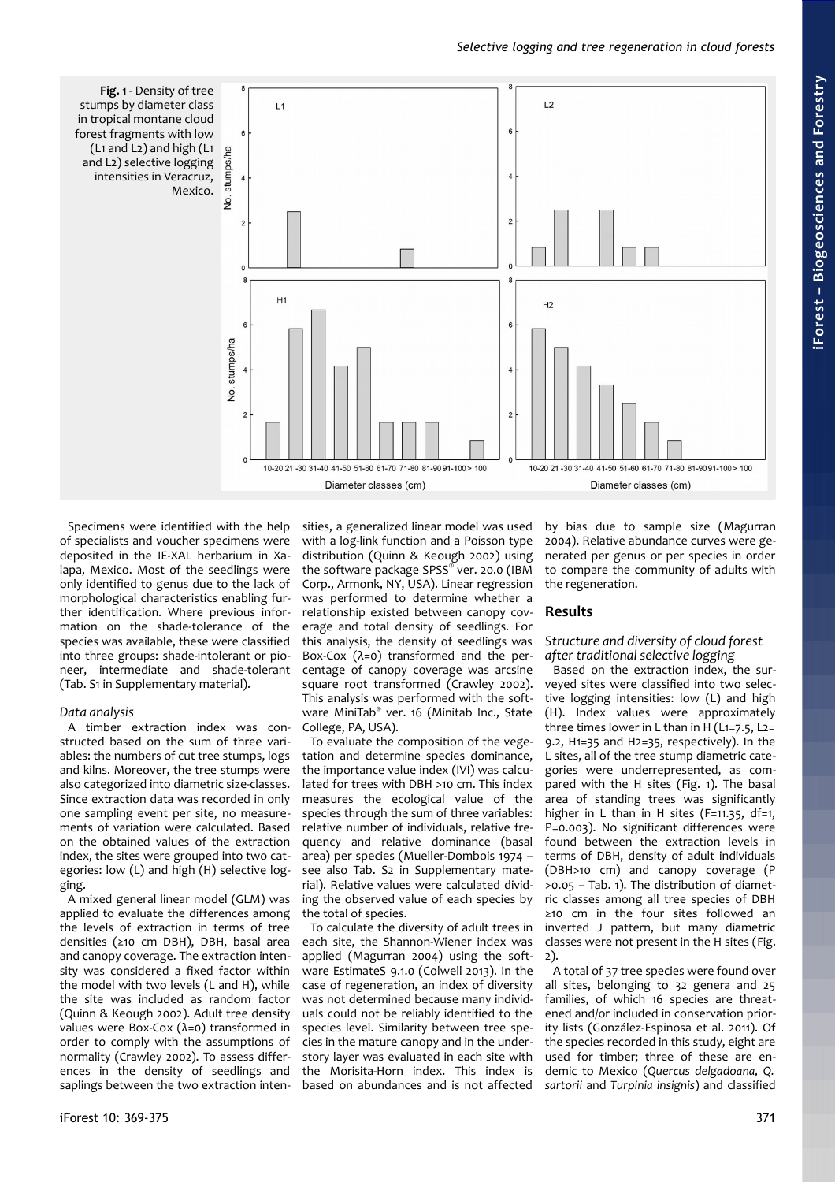<span id="page-2-0"></span>

Specimens were identified with the help of specialists and voucher specimens were deposited in the IE-XAL herbarium in Xalapa, Mexico. Most of the seedlings were only identified to genus due to the lack of morphological characteristics enabling further identification. Where previous information on the shade-tolerance of the species was available, these were classified into three groups: shade-intolerant or pioneer, intermediate and shade-tolerant (Tab. S1 in Supplementary material).

#### *Data analysis*

A timber extraction index was constructed based on the sum of three variables: the numbers of cut tree stumps, logs and kilns. Moreover, the tree stumps were also categorized into diametric size-classes. Since extraction data was recorded in only one sampling event per site, no measurements of variation were calculated. Based on the obtained values of the extraction index, the sites were grouped into two categories: low (L) and high (H) selective logging.

A mixed general linear model (GLM) was applied to evaluate the differences among the levels of extraction in terms of tree densities (≥10 cm DBH), DBH, basal area and canopy coverage. The extraction intensity was considered a fixed factor within the model with two levels (L and H), while the site was included as random factor (Quinn & Keough 2002). Adult tree density values were Box-Cox (λ=0) transformed in order to comply with the assumptions of normality (Crawley 2002). To assess differences in the density of seedlings and saplings between the two extraction intensities, a generalized linear model was used with a log-link function and a Poisson type distribution (Quinn & Keough 2002) using the software package SPSS® ver. 20.0 (IBM Corp., Armonk, NY, USA). Linear regression was performed to determine whether a relationship existed between canopy coverage and total density of seedlings. For this analysis, the density of seedlings was Box-Cox  $(\lambda=0)$  transformed and the percentage of canopy coverage was arcsine square root transformed (Crawley 2002). This analysis was performed with the software MiniTab® ver. 16 (Minitab Inc., State College, PA, USA).

To evaluate the composition of the vegetation and determine species dominance, the importance value index (IVI) was calculated for trees with DBH >10 cm. This index measures the ecological value of the species through the sum of three variables: relative number of individuals, relative frequency and relative dominance (basal area) per species (Mueller-Dombois 1974 – see also Tab. S2 in Supplementary material). Relative values were calculated dividing the observed value of each species by the total of species.

To calculate the diversity of adult trees in each site, the Shannon-Wiener index was applied (Magurran 2004) using the software EstimateS 9.1.0 (Colwell 2013). In the case of regeneration, an index of diversity was not determined because many individuals could not be reliably identified to the species level. Similarity between tree species in the mature canopy and in the understory layer was evaluated in each site with the Morisita-Horn index. This index is based on abundances and is not affected by bias due to sample size (Magurran 2004). Relative abundance curves were generated per genus or per species in order to compare the community of adults with the regeneration.

# **Results**

# *Structure and diversity of cloud forest after traditional selective logging*

Based on the extraction index, the surveyed sites were classified into two selective logging intensities: low (L) and high (H). Index values were approximately three times lower in L than in H (L1=7.5, L2= 9.2, H1=35 and H2=35, respectively). In the L sites, all of the tree stump diametric categories were underrepresented, as compared with the H sites [\(Fig. 1\)](#page-2-0). The basal area of standing trees was significantly higher in L than in H sites (F=11.35, df=1, P=0.003). No significant differences were found between the extraction levels in terms of DBH, density of adult individuals (DBH>10 cm) and canopy coverage (P >0.05 – [Tab. 1\)](#page-1-0). The distribution of diametric classes among all tree species of DBH ≥10 cm in the four sites followed an inverted J pattern, but many diametric classes were not present in the H sites [\(Fig.](#page-3-0) [2\)](#page-3-0).

A total of 37 tree species were found over all sites, belonging to 32 genera and 25 families, of which 16 species are threatened and/or included in conservation priority lists (González-Espinosa et al. 2011). Of the species recorded in this study, eight are used for timber; three of these are endemic to Mexico (*Quercus delgadoana, Q. sartorii* and *Turpinia insignis*) and classified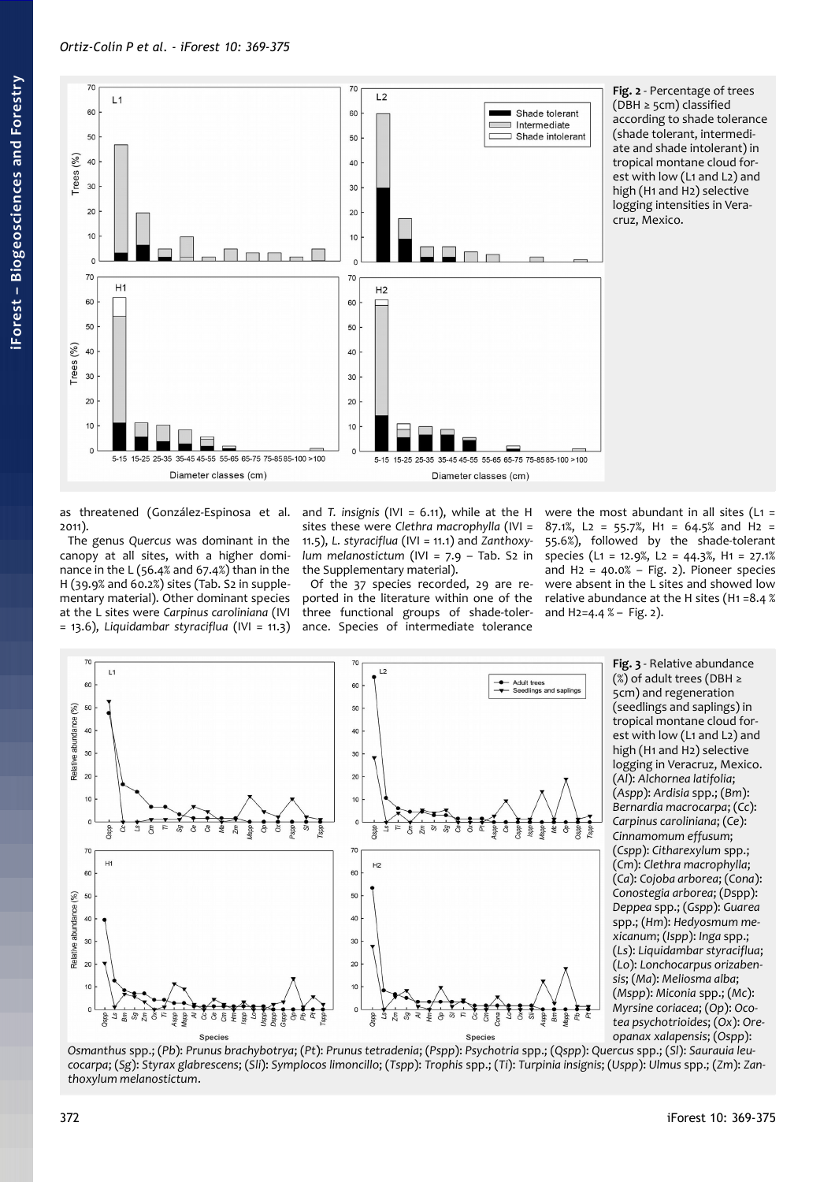as threatened (González-Espinosa et al. 2011).

The genus *Quercus* was dominant in the canopy at all sites, with a higher dominance in the L (56.4% and 67.4%) than in the H (39.9% and 60.2%) sites (Tab. S2 in supplementary material). Other dominant species at the L sites were *Carpinus caroliniana* (IVI = 13.6), *Liquidambar styraciflua* (IVI = 11.3)

and *T. insignis* (IVI = 6.11), while at the H

Of the 37 species recorded, 29 are rethree functional groups of shade-tolerance. Species of intermediate tolerance

were the most abundant in all sites  $(L1 =$ 87.1%, L2 = 55.7%, H1 = 64.5% and H2 = 55.6%), followed by the shade-tolerant species (L1 = 12.9%, L2 = 44.3%, H1 = 27.1% and  $H_2 = 40.0\% - Fig. 2$ . Pioneer species were absent in the L sites and showed low relative abundance at the H sites (H1 =8.4 % and  $H_2 = 4.4 %$  – [Fig. 2\)](#page-3-0).







# sites these were *Clethra macrophylla* (IVI = 11.5), *L. styraciflua* (IVI = 11.1) and *Zanthoxylum melanostictum* (IVI = 7.9 – Tab. S2 in the Supplementary material). ported in the literature within one of the

<span id="page-3-1"></span>**Fig. 3** - Relative abundance (%) of adult trees (DBH ≥ 5cm) and regeneration (seedlings and saplings) in tropical montane cloud forest with low (L1 and L2) and high (H<sub>1</sub> and H<sub>2</sub>) selective logging in Veracruz, Mexico. (*Al*): *Alchornea latifolia*; (*Aspp*): *Ardisia* spp.; (*Bm*): *Bernardia macrocarpa*; (*Cc*): *Carpinus caroliniana*; (*Ce*): *Cinnamomum effusum*; (*Cspp*): *Citharexylum* spp.; (*Cm*): *Clethra macrophylla*; (*Ca*): *Cojoba arborea*; (*Cona*): *Conostegia arborea*; (*D*spp): *Deppea* spp.; (*Gspp*): *Guarea* spp.; (*Hm*): *Hedyosmum mexicanum*; (*Ispp*): *Inga* spp.; (*Ls*): *Liquidambar styraciflua*; (*Lo*): *Lonchocarpus orizabensis*; (*Ma*): *Meliosma alba*; (*Mspp*): *Miconia* spp.; (*Mc*): *Myrsine coriacea*; (*Op*): *Ocotea psychotrioides*; (*Ox*): *Ore-*

<span id="page-3-0"></span>**Fig. 2** - Percentage of trees (DBH ≥ 5cm) classified according to shade tolerance (shade tolerant, intermediate and shade intolerant) in tropical montane cloud forest with low (L1 and L2) and high (H1 and H2) selective logging intensities in Veracruz, Mexico.

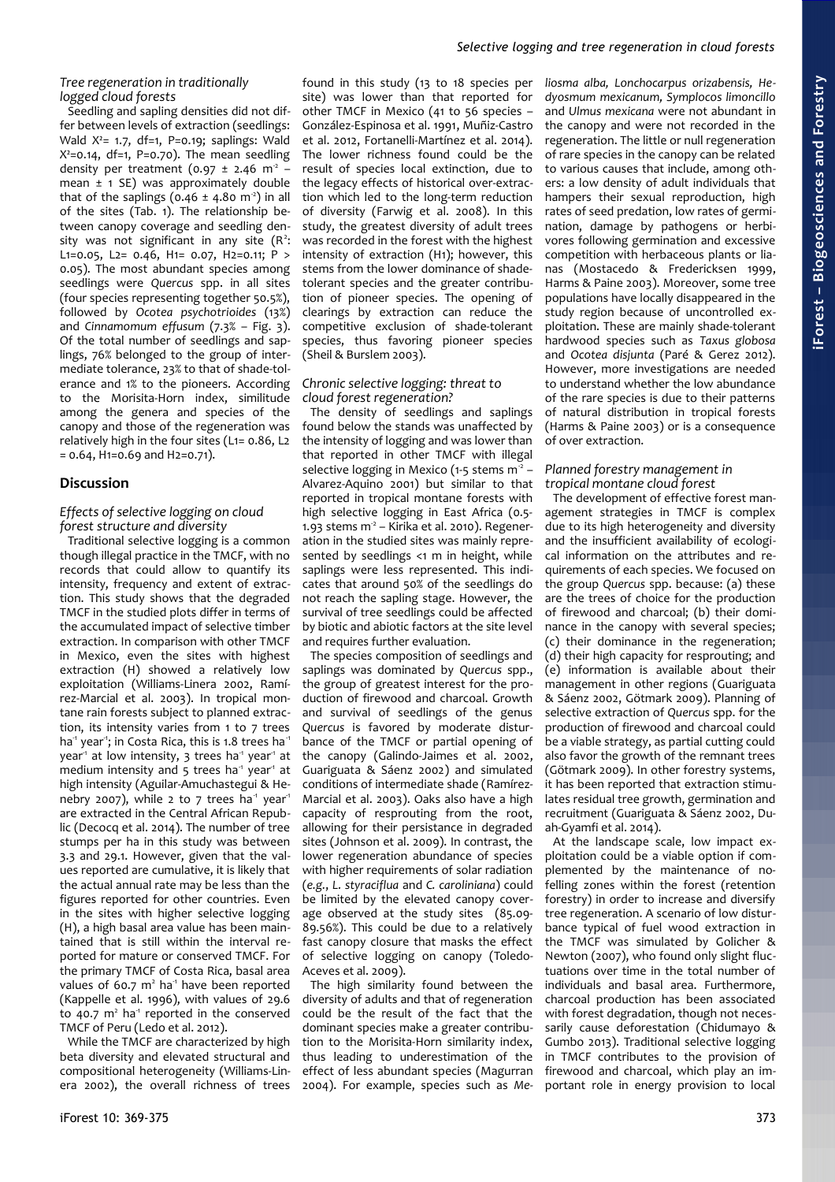#### *Selective logging and tree regeneration in cloud forests*

#### *Tree regeneration in traditionally logged cloud forests*

Seedling and sapling densities did not differ between levels of extraction (seedlings: Wald  $X^2$ = 1.7, df=1, P=0.19; saplings: Wald  $X^2$ =0.14, df=1, P=0.70). The mean seedling density per treatment  $(0.97 \pm 2.46 \text{ m}^2$ mean  $\pm$  1 SE) was approximately double that of the saplings ( $0.46 \pm 4.80$  m<sup>-2</sup>) in all of the sites [\(Tab. 1\)](#page-1-0). The relationship between canopy coverage and seedling density was not significant in any site  $(R^2$ : L1=0.05, L2= 0.46, H1= 0.07, H2=0.11; P > 0.05). The most abundant species among seedlings were *Quercus* spp. in all sites (four species representing together 50.5%), followed by *Ocotea psychotrioides* (13%) and *Cinnamomum effusum* (7.3% – [Fig. 3\)](#page-3-1). Of the total number of seedlings and saplings, 76% belonged to the group of intermediate tolerance, 23% to that of shade-tolerance and 1% to the pioneers. According to the Morisita-Horn index, similitude among the genera and species of the canopy and those of the regeneration was relatively high in the four sites (L1= 0.86, L2 = 0.64, H1=0.69 and H2=0.71).

# **Discussion**

#### *Effects of selective logging on cloud forest structure and diversity*

Traditional selective logging is a common though illegal practice in the TMCF, with no records that could allow to quantify its intensity, frequency and extent of extraction. This study shows that the degraded TMCF in the studied plots differ in terms of the accumulated impact of selective timber extraction. In comparison with other TMCF in Mexico, even the sites with highest extraction (H) showed a relatively low exploitation (Williams-Linera 2002, Ramírez-Marcial et al. 2003). In tropical montane rain forests subject to planned extraction, its intensity varies from 1 to 7 trees ha<sup>-1</sup> year<sup>-1</sup>; in Costa Rica, this is 1.8 trees ha<sup>-1</sup> year<sup>1</sup> at low intensity,  $3$  trees ha<sup>1</sup> year<sup>1</sup> at medium intensity and 5 trees ha<sup>1</sup> year<sup>1</sup> at high intensity (Aguilar-Amuchastegui & Henebry 2007), while 2 to 7 trees ha<sup>-1</sup> year<sup>-1</sup> are extracted in the Central African Republic (Decocq et al. 2014). The number of tree stumps per ha in this study was between 3.3 and 29.1. However, given that the values reported are cumulative, it is likely that the actual annual rate may be less than the figures reported for other countries. Even in the sites with higher selective logging (H), a high basal area value has been maintained that is still within the interval reported for mature or conserved TMCF. For the primary TMCF of Costa Rica, basal area values of 60.7  $m<sup>2</sup>$  ha<sup>-1</sup> have been reported (Kappelle et al. 1996), with values of 29.6 to  $40.7$   $m<sup>2</sup>$  ha<sup>-1</sup> reported in the conserved TMCF of Peru (Ledo et al. 2012).

While the TMCF are characterized by high beta diversity and elevated structural and compositional heterogeneity (Williams-Linera 2002), the overall richness of trees

found in this study (13 to 18 species per site) was lower than that reported for other TMCF in Mexico (41 to 56 species – González-Espinosa et al. 1991, Muñiz-Castro et al. 2012, Fortanelli-Martínez et al. 2014). The lower richness found could be the result of species local extinction, due to the legacy effects of historical over-extraction which led to the long-term reduction of diversity (Farwig et al. 2008). In this study, the greatest diversity of adult trees was recorded in the forest with the highest intensity of extraction (H1); however, this stems from the lower dominance of shadetolerant species and the greater contribution of pioneer species. The opening of clearings by extraction can reduce the competitive exclusion of shade-tolerant species, thus favoring pioneer species (Sheil & Burslem 2003).

#### *Chronic selective logging: threat to cloud forest regeneration?*

The density of seedlings and saplings found below the stands was unaffected by the intensity of logging and was lower than that reported in other TMCF with illegal selective logging in Mexico (1-5 stems  $m^2$  -Alvarez-Aquino 2001) but similar to that reported in tropical montane forests with high selective logging in East Africa (0.5-  $1.93$  stems  $m^2$  – Kirika et al. 2010). Regeneration in the studied sites was mainly represented by seedlings <1 m in height, while saplings were less represented. This indicates that around 50% of the seedlings do not reach the sapling stage. However, the survival of tree seedlings could be affected by biotic and abiotic factors at the site level and requires further evaluation.

The species composition of seedlings and saplings was dominated by *Quercus* spp., the group of greatest interest for the production of firewood and charcoal. Growth and survival of seedlings of the genus *Quercus* is favored by moderate disturbance of the TMCF or partial opening of the canopy (Galindo-Jaimes et al. 2002, Guariguata & Sáenz 2002) and simulated conditions of intermediate shade (Ramírez-Marcial et al. 2003). Oaks also have a high capacity of resprouting from the root, allowing for their persistance in degraded sites (Johnson et al. 2009). In contrast, the lower regeneration abundance of species with higher requirements of solar radiation (*e.g.*, *L. styraciflua* and *C. caroliniana*) could be limited by the elevated canopy coverage observed at the study sites (85.09- 89.56%). This could be due to a relatively fast canopy closure that masks the effect of selective logging on canopy (Toledo-Aceves et al. 2009).

The high similarity found between the diversity of adults and that of regeneration could be the result of the fact that the dominant species make a greater contribution to the Morisita-Horn similarity index, thus leading to underestimation of the effect of less abundant species (Magurran 2004). For example, species such as *Me-*

*liosma alba, Lonchocarpus orizabensis, Hedyosmum mexicanum, Symplocos limoncillo* and *Ulmus mexicana* were not abundant in the canopy and were not recorded in the regeneration. The little or null regeneration of rare species in the canopy can be related to various causes that include, among others: a low density of adult individuals that hampers their sexual reproduction, high rates of seed predation, low rates of germination, damage by pathogens or herbivores following germination and excessive competition with herbaceous plants or lianas (Mostacedo & Fredericksen 1999, Harms & Paine 2003). Moreover, some tree populations have locally disappeared in the study region because of uncontrolled exploitation. These are mainly shade-tolerant hardwood species such as *Taxus globosa* and *Ocotea disjunta* (Paré & Gerez 2012). However, more investigations are needed to understand whether the low abundance of the rare species is due to their patterns of natural distribution in tropical forests (Harms & Paine 2003) or is a consequence of over extraction.

#### *Planned forestry management in tropical montane cloud forest*

The development of effective forest management strategies in TMCF is complex due to its high heterogeneity and diversity and the insufficient availability of ecological information on the attributes and requirements of each species. We focused on the group *Quercus* spp. because: (a) these are the trees of choice for the production of firewood and charcoal; (b) their dominance in the canopy with several species; (c) their dominance in the regeneration; (d) their high capacity for resprouting; and  $(e)$  information is available about their management in other regions (Guariguata & Sáenz 2002, Götmark 2009). Planning of selective extraction of *Quercus* spp. for the production of firewood and charcoal could be a viable strategy, as partial cutting could also favor the growth of the remnant trees (Götmark 2009). In other forestry systems, it has been reported that extraction stimulates residual tree growth, germination and recruitment (Guariguata & Sáenz 2002, Duah-Gyamfi et al. 2014).

At the landscape scale, low impact exploitation could be a viable option if complemented by the maintenance of nofelling zones within the forest (retention forestry) in order to increase and diversify tree regeneration. A scenario of low disturbance typical of fuel wood extraction in the TMCF was simulated by Golicher & Newton (2007), who found only slight fluctuations over time in the total number of individuals and basal area. Furthermore, charcoal production has been associated with forest degradation, though not necessarily cause deforestation (Chidumayo & Gumbo 2013). Traditional selective logging in TMCF contributes to the provision of firewood and charcoal, which play an important role in energy provision to local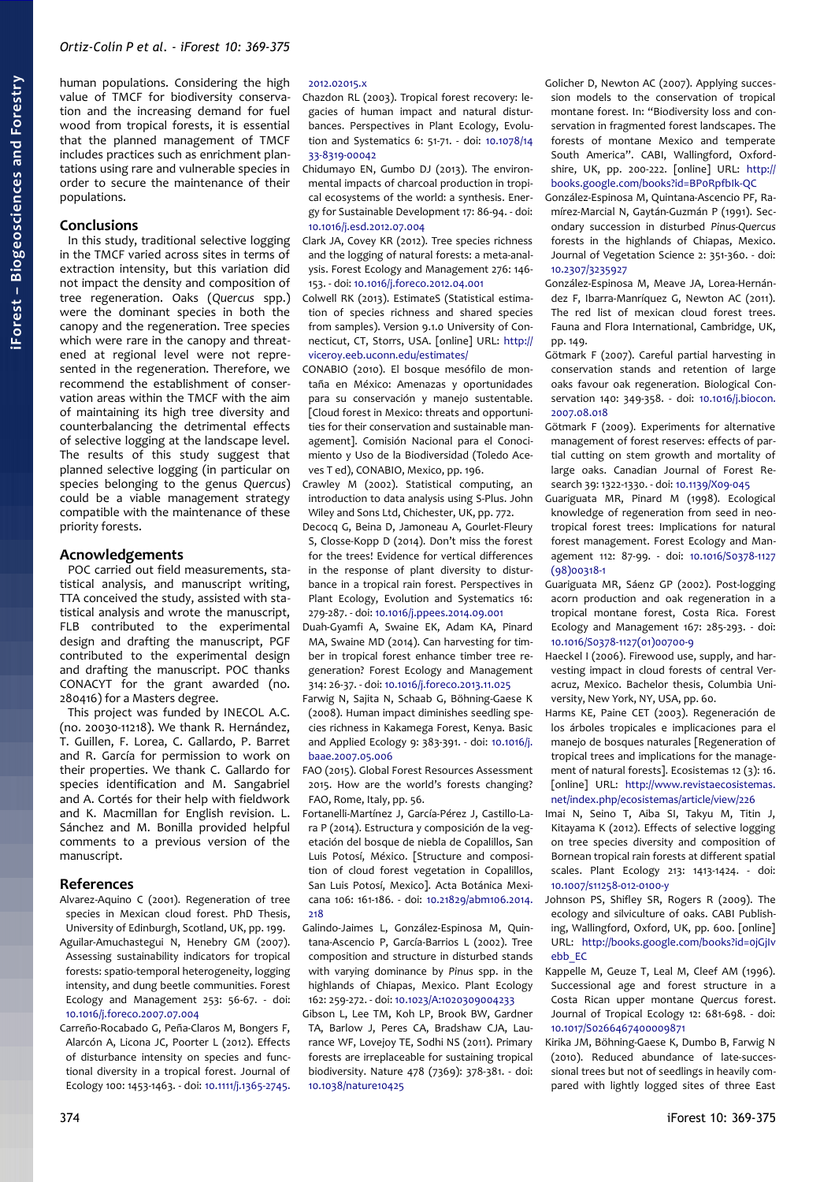human populations. Considering the high value of TMCF for biodiversity conservation and the increasing demand for fuel wood from tropical forests, it is essential that the planned management of TMCF includes practices such as enrichment plantations using rare and vulnerable species in order to secure the maintenance of their populations.

#### **Conclusions**

In this study, traditional selective logging in the TMCF varied across sites in terms of extraction intensity, but this variation did not impact the density and composition of tree regeneration. Oaks (*Quercus* spp.) were the dominant species in both the canopy and the regeneration. Tree species which were rare in the canopy and threatened at regional level were not represented in the regeneration. Therefore, we recommend the establishment of conservation areas within the TMCF with the aim of maintaining its high tree diversity and counterbalancing the detrimental effects of selective logging at the landscape level. The results of this study suggest that planned selective logging (in particular on species belonging to the genus *Quercus*) could be a viable management strategy compatible with the maintenance of these priority forests.

#### **Acnowledgements**

POC carried out field measurements, statistical analysis, and manuscript writing, TTA conceived the study, assisted with statistical analysis and wrote the manuscript, FLB contributed to the experimental design and drafting the manuscript, PGF contributed to the experimental design and drafting the manuscript. POC thanks CONACYT for the grant awarded (no. 280416) for a Masters degree.

This project was funded by INECOL A.C. (no. 20030-11218). We thank R. Hernández, T. Guillen, F. Lorea, C. Gallardo, P. Barret and R. García for permission to work on their properties. We thank C. Gallardo for species identification and M. Sangabriel and A. Cortés for their help with fieldwork and K. Macmillan for English revision. L. Sánchez and M. Bonilla provided helpful comments to a previous version of the manuscript.

#### **References**

- Alvarez-Aquino C (2001). Regeneration of tree species in Mexican cloud forest. PhD Thesis, University of Edinburgh, Scotland, UK, pp. 199.
- Aguilar-Amuchastegui N, Henebry GM (2007). Assessing sustainability indicators for tropical forests: spatio-temporal heterogeneity, logging intensity, and dung beetle communities. Forest Ecology and Management 253: 56-67. - doi: [10.1016/j.foreco.2007.07.004](http://dx.doi.org/10.1016/j.foreco.2007.07.004)
- Carreño-Rocabado G, Peña-Claros M, Bongers F, Alarcón A, Licona JC, Poorter L (2012). Effects of disturbance intensity on species and functional diversity in a tropical forest. Journal of Ecology 100: 1453-1463. - doi: [10.1111/j.1365-2745.](http://dx.doi.org/10.1111/j.1365-2745.2012.02015.x)

# [2012.02015.x](http://dx.doi.org/10.1111/j.1365-2745.2012.02015.x)

- Chazdon RL (2003). Tropical forest recovery: legacies of human impact and natural disturbances. Perspectives in Plant Ecology, Evolution and Systematics 6: 51-71. - doi: [10.1078/14](http://dx.doi.org/10.1078/1433-8319-00042) [33-8319-00042](http://dx.doi.org/10.1078/1433-8319-00042)
- Chidumayo EN, Gumbo DJ (2013). The environmental impacts of charcoal production in tropical ecosystems of the world: a synthesis. Energy for Sustainable Development 17: 86-94. - doi: [10.1016/j.esd.2012.07.004](http://dx.doi.org/10.1016/j.esd.2012.07.004)
- Clark JA, Covey KR (2012). Tree species richness and the logging of natural forests: a meta-analysis. Forest Ecology and Management 276: 146- 153. - doi: [10.1016/j.foreco.2012.04.001](http://dx.doi.org/10.1016/j.foreco.2012.04.001)
- Colwell RK (2013). EstimateS (Statistical estimation of species richness and shared species from samples). Version 9.1.0 University of Connecticut, CT, Storrs, USA. [online] URL: [http://](http://viceroy.eeb.uconn.edu/estimates/) [viceroy.eeb.uconn.edu/estimates/](http://viceroy.eeb.uconn.edu/estimates/)
- CONABIO (2010). El bosque mesófilo de montaña en México: Amenazas y oportunidades para su conservación y manejo sustentable. [Cloud forest in Mexico: threats and opportunities for their conservation and sustainable management]. Comisión Nacional para el Conocimiento y Uso de la Biodiversidad (Toledo Aceves T ed), CONABIO, Mexico, pp. 196.
- Crawley M (2002). Statistical computing, an introduction to data analysis using S-Plus. John Wiley and Sons Ltd, Chichester, UK, pp. 772.
- Decocq G, Beina D, Jamoneau A, Gourlet-Fleury S, Closse-Kopp D (2014). Don't miss the forest for the trees! Evidence for vertical differences in the response of plant diversity to disturbance in a tropical rain forest. Perspectives in Plant Ecology, Evolution and Systematics 16: 279-287. - doi: [10.1016/j.ppees.2014.09.001](http://dx.doi.org/10.1016/j.ppees.2014.09.001)
- Duah-Gyamfi A, Swaine EK, Adam KA, Pinard MA, Swaine MD (2014). Can harvesting for timber in tropical forest enhance timber tree regeneration? Forest Ecology and Management 314: 26-37. - doi: [10.1016/j.foreco.2013.11.025](http://dx.doi.org/10.1016/j.foreco.2013.11.025)
- Farwig N, Sajita N, Schaab G, Böhning-Gaese K (2008). Human impact diminishes seedling species richness in Kakamega Forest, Kenya. Basic and Applied Ecology 9: 383-391. - doi: [10.1016/j.](http://dx.doi.org/10.1016/j.baae.2007.05.006) [baae.2007.05.006](http://dx.doi.org/10.1016/j.baae.2007.05.006)
- FAO (2015). Global Forest Resources Assessment 2015. How are the world's forests changing? FAO, Rome, Italy, pp. 56.
- Fortanelli-Martínez J, García-Pérez J, Castillo-Lara P (2014). Estructura y composición de la vegetación del bosque de niebla de Copalillos, San Luis Potosí, México. [Structure and composition of cloud forest vegetation in Copalillos, San Luis Potosí, Mexico]. Acta Botánica Mexicana 106: 161-186. - doi: [10.21829/abm106.2014.](http://dx.doi.org/10.21829/abm106.2014.218) [218](http://dx.doi.org/10.21829/abm106.2014.218)
- Galindo-Jaimes L, González-Espinosa M, Quintana-Ascencio P, García-Barrios L (2002). Tree composition and structure in disturbed stands with varying dominance by *Pinus* spp. in the highlands of Chiapas, Mexico. Plant Ecology 162: 259-272. - doi: [10.1023/A:1020309004233](http://dx.doi.org/10.1023/A:1020309004233)
- Gibson L, Lee TM, Koh LP, Brook BW, Gardner TA, Barlow J, Peres CA, Bradshaw CJA, Laurance WF, Lovejoy TE, Sodhi NS (2011). Primary forests are irreplaceable for sustaining tropical biodiversity. Nature 478 (7369): 378-381. - doi: [10.1038/nature10425](http://dx.doi.org/10.1038/nature10425)
- Golicher D, Newton AC (2007). Applying succession models to the conservation of tropical montane forest. In: "Biodiversity loss and conservation in fragmented forest landscapes. The forests of montane Mexico and temperate South America". CABI, Wallingford, Oxfordshire, UK, pp. 200-222. [online] URL: [http://](http://books.google.com/books?id=BP0RpfbIk-QC) [books.google.com/books?id=BP0RpfbIk-QC](http://books.google.com/books?id=BP0RpfbIk-QC)
- González-Espinosa M, Quintana-Ascencio PF, Ramírez-Marcial N, Gaytán-Guzmán P (1991). Secondary succession in disturbed *Pinus-Quercus* forests in the highlands of Chiapas, Mexico. Journal of Vegetation Science 2: 351-360. - doi: [10.2307/3235927](http://dx.doi.org/10.2307/3235927)
- González-Espinosa M, Meave JA, Lorea-Hernández F, Ibarra-Manríquez G, Newton AC (2011). The red list of mexican cloud forest trees. Fauna and Flora International, Cambridge, UK, pp. 149.
- Götmark F (2007). Careful partial harvesting in conservation stands and retention of large oaks favour oak regeneration. Biological Conservation 140: 349-358. - doi: [10.1016/j.biocon.](http://dx.doi.org/10.1016/j.biocon.2007.08.018) [2007.08.018](http://dx.doi.org/10.1016/j.biocon.2007.08.018)
- Götmark F (2009). Experiments for alternative management of forest reserves: effects of partial cutting on stem growth and mortality of large oaks. Canadian Journal of Forest Research 39: 1322-1330. - doi: [10.1139/X09-045](http://dx.doi.org/10.1139/X09-045)
- Guariguata MR, Pinard M (1998). Ecological knowledge of regeneration from seed in neotropical forest trees: Implications for natural forest management. Forest Ecology and Management 112: 87-99. - doi: [10.1016/S0378-1127](http://dx.doi.org/10.1016/S0378-1127(98)00318-1) [\(98\)00318-1](http://dx.doi.org/10.1016/S0378-1127(98)00318-1)
- Guariguata MR, Sáenz GP (2002). Post-logging acorn production and oak regeneration in a tropical montane forest, Costa Rica. Forest Ecology and Management 167: 285-293. - doi: [10.1016/S0378-1127\(01\)00700-9](http://dx.doi.org/10.1016/S0378-1127(01)00700-9)
- Haeckel I (2006). Firewood use, supply, and harvesting impact in cloud forests of central Veracruz, Mexico. Bachelor thesis, Columbia University, New York, NY, USA, pp. 60.
- Harms KE, Paine CET (2003). Regeneración de los árboles tropicales e implicaciones para el manejo de bosques naturales [Regeneration of tropical trees and implications for the management of natural forests]. Ecosistemas 12 (3): 16. [online] URL: [http://www.revistaecosistemas.](http://www.revistaecosistemas.net/index.php/ecosistemas/article/view/226) [net/index.php/ecosistemas/article/view/226](http://www.revistaecosistemas.net/index.php/ecosistemas/article/view/226)
- Imai N, Seino T, Aiba SI, Takyu M, Titin J, Kitayama K (2012). Effects of selective logging on tree species diversity and composition of Bornean tropical rain forests at different spatial scales. Plant Ecology 213: 1413-1424. - doi: [10.1007/s11258-012-0100-y](http://dx.doi.org/10.1007/s11258-012-0100-y)
- Johnson PS, Shifley SR, Rogers R (2009). The ecology and silviculture of oaks. CABI Publishing, Wallingford, Oxford, UK, pp. 600. [online] URL: [http://books.google.com/books?id=0jGjIv](http://books.google.com/books?id=0jGjIvebb_EC) [ebb\\_EC](http://books.google.com/books?id=0jGjIvebb_EC)
- Kappelle M, Geuze T, Leal M, Cleef AM (1996). Successional age and forest structure in a Costa Rican upper montane *Quercus* forest. Journal of Tropical Ecology 12: 681-698. - doi: [10.1017/S0266467400009871](http://dx.doi.org/10.1017/S0266467400009871)
- Kirika JM, Böhning-Gaese K, Dumbo B, Farwig N (2010). Reduced abundance of late-successional trees but not of seedlings in heavily compared with lightly logged sites of three East